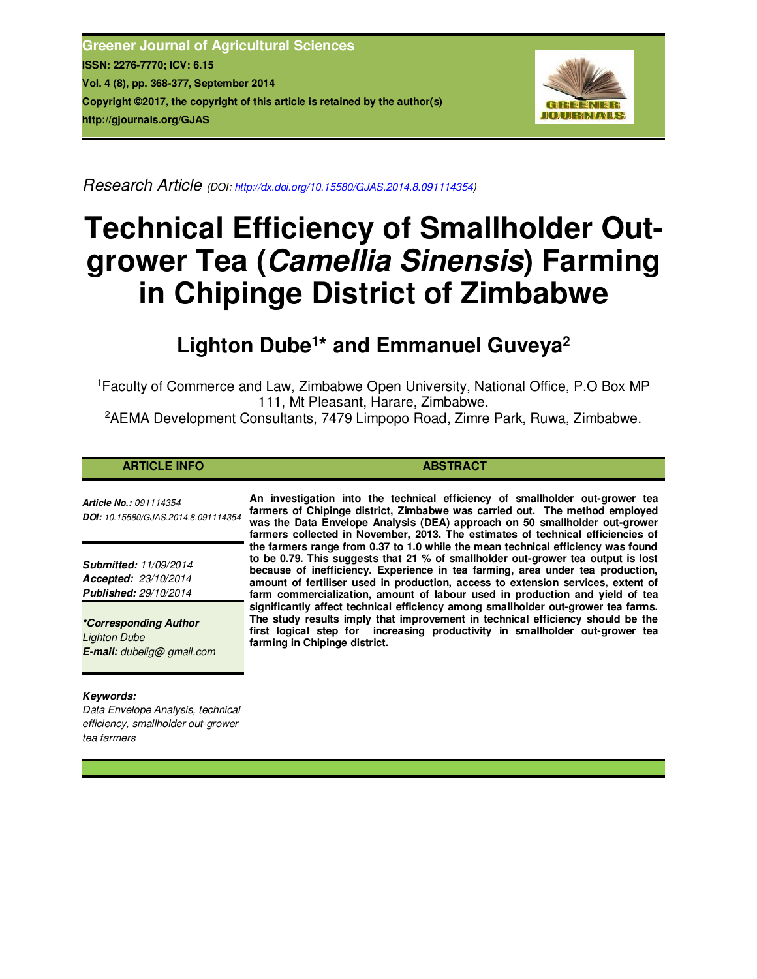**Greener Journal of Agricultural Sciences ISSN: 2276-7770; ICV: 6.15 Vol. 4 (8), pp. 368-377, September 2014 Copyright ©2017, the copyright of this article is retained by the author(s) http://gjournals.org/GJAS**



*Research Article (DOI: http://dx.doi.org/10.15580/GJAS.2014.8.091114354)*

# **Technical Efficiency of Smallholder Outgrower Tea (***Camellia Sinensis***) Farming in Chipinge District of Zimbabwe**

# **Lighton Dube<sup>1</sup> \* and Emmanuel Guveya<sup>2</sup>**

<sup>1</sup>Faculty of Commerce and Law, Zimbabwe Open University, National Office, P.O Box MP 111, Mt Pleasant, Harare, Zimbabwe.

<sup>2</sup>AEMA Development Consultants, 7479 Limpopo Road, Zimre Park, Ruwa, Zimbabwe.

# **ARTICLE INFO ABSTRACT**

*Article No.: 091114354 DOI: 10.15580/GJAS.2014.8.091114354*

*Submitted: 11/09/2014 Accepted: 23/10/2014 Published: 29/10/2014*

*\*Corresponding Author Lighton Dube E-mail: dubelig@ gmail.com*

# *Keywords:*

*Data Envelope Analysis, technical efficiency, smallholder out-grower tea farmers*

**An investigation into the technical efficiency of smallholder out-grower tea farmers of Chipinge district, Zimbabwe was carried out. The method employed was the Data Envelope Analysis (DEA) approach on 50 smallholder out-grower farmers collected in November, 2013. The estimates of technical efficiencies of the farmers range from 0.37 to 1.0 while the mean technical efficiency was found to be 0.79. This suggests that 21 % of smallholder out-grower tea output is lost because of inefficiency. Experience in tea farming, area under tea production, amount of fertiliser used in production, access to extension services, extent of farm commercialization, amount of labour used in production and yield of tea significantly affect technical efficiency among smallholder out-grower tea farms. The study results imply that improvement in technical efficiency should be the first logical step for increasing productivity in smallholder out-grower tea farming in Chipinge district.**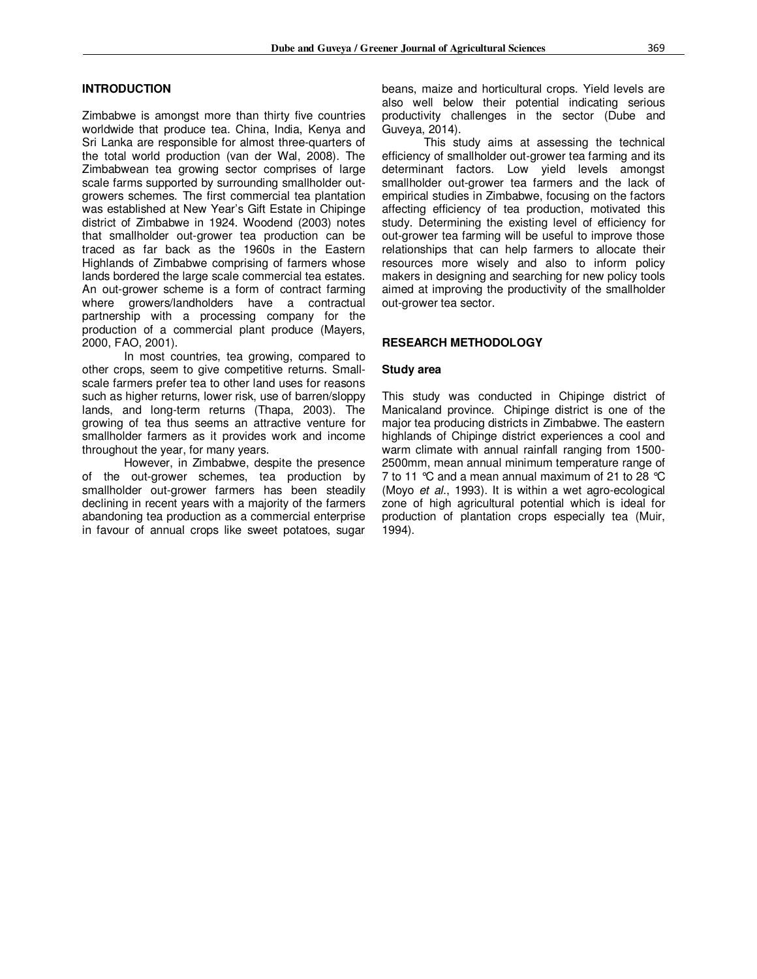### **INTRODUCTION**

Zimbabwe is amongst more than thirty five countries worldwide that produce tea. China, India, Kenya and Sri Lanka are responsible for almost three-quarters of the total world production (van der Wal, 2008). The Zimbabwean tea growing sector comprises of large scale farms supported by surrounding smallholder outgrowers schemes. The first commercial tea plantation was established at New Year's Gift Estate in Chipinge district of Zimbabwe in 1924. Woodend (2003) notes that smallholder out-grower tea production can be traced as far back as the 1960s in the Eastern Highlands of Zimbabwe comprising of farmers whose lands bordered the large scale commercial tea estates. An out-grower scheme is a form of contract farming where growers/landholders have a contractual partnership with a processing company for the production of a commercial plant produce (Mayers, 2000, FAO, 2001).

In most countries, tea growing, compared to other crops, seem to give competitive returns. Smallscale farmers prefer tea to other land uses for reasons such as higher returns, lower risk, use of barren/sloppy lands, and long-term returns (Thapa, 2003). The growing of tea thus seems an attractive venture for smallholder farmers as it provides work and income throughout the year, for many years.

However, in Zimbabwe, despite the presence of the out-grower schemes, tea production by smallholder out-grower farmers has been steadily declining in recent years with a majority of the farmers abandoning tea production as a commercial enterprise in favour of annual crops like sweet potatoes, sugar beans, maize and horticultural crops. Yield levels are also well below their potential indicating serious productivity challenges in the sector (Dube and Guveya, 2014).

This study aims at assessing the technical efficiency of smallholder out-grower tea farming and its determinant factors. Low yield levels amongst smallholder out-grower tea farmers and the lack of empirical studies in Zimbabwe, focusing on the factors affecting efficiency of tea production, motivated this study. Determining the existing level of efficiency for out-grower tea farming will be useful to improve those relationships that can help farmers to allocate their resources more wisely and also to inform policy makers in designing and searching for new policy tools aimed at improving the productivity of the smallholder out-grower tea sector.

#### **RESEARCH METHODOLOGY**

#### **Study area**

This study was conducted in Chipinge district of Manicaland province. Chipinge district is one of the major tea producing districts in Zimbabwe. The eastern highlands of Chipinge district experiences a cool and warm climate with annual rainfall ranging from 1500- 2500mm, mean annual minimum temperature range of 7 to 11 °C and a mean annual maximum of 21 to 28 °C (Moyo *et al*., 1993). It is within a wet agro-ecological zone of high agricultural potential which is ideal for production of plantation crops especially tea (Muir, 1994).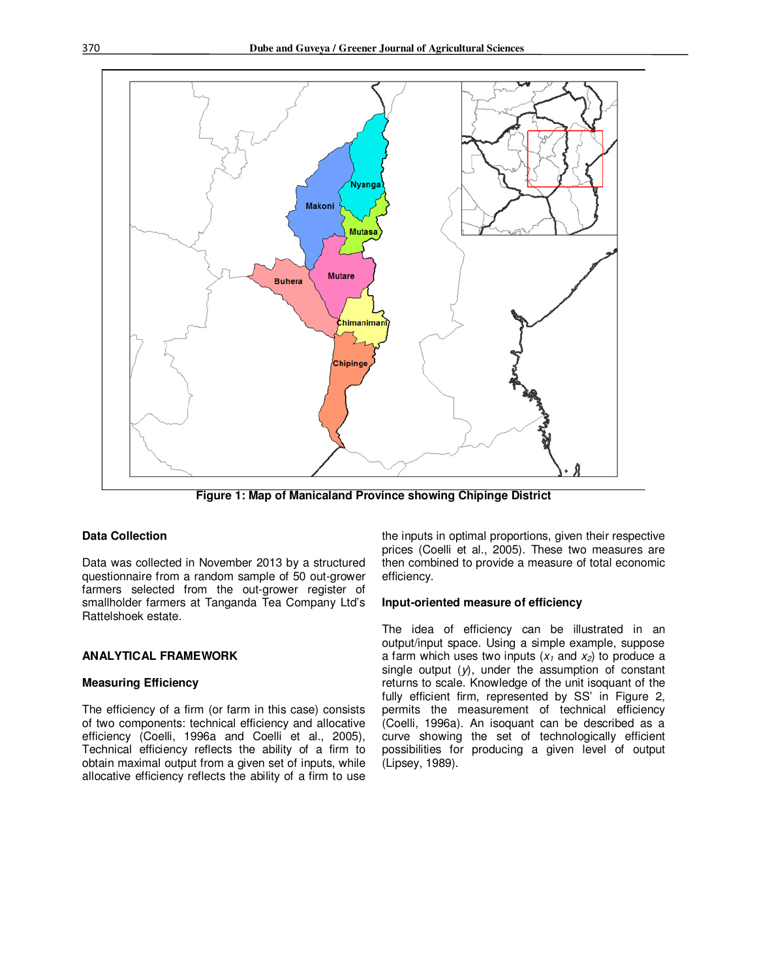

**Figure 1: Map of Manicaland Province showing Chipinge District** 

# **Data Collection**

Data was collected in November 2013 by a structured questionnaire from a random sample of 50 out-grower farmers selected from the out-grower register of smallholder farmers at Tanganda Tea Company Ltd's Rattelshoek estate.

# **ANALYTICAL FRAMEWORK**

#### **Measuring Efficiency**

The efficiency of a firm (or farm in this case) consists of two components: technical efficiency and allocative efficiency (Coelli, 1996a and Coelli et al., 2005), Technical efficiency reflects the ability of a firm to obtain maximal output from a given set of inputs, while allocative efficiency reflects the ability of a firm to use

the inputs in optimal proportions, given their respective prices (Coelli et al., 2005). These two measures are then combined to provide a measure of total economic efficiency.

#### **Input-oriented measure of efficiency**

The idea of efficiency can be illustrated in an output/input space. Using a simple example, suppose a farm which uses two inputs  $(x_1$  and  $x_2$ ) to produce a single output (*y*), under the assumption of constant returns to scale. Knowledge of the unit isoquant of the fully efficient firm, represented by SS' in Figure 2, permits the measurement of technical efficiency (Coelli, 1996a). An isoquant can be described as a curve showing the set of technologically efficient possibilities for producing a given level of output (Lipsey, 1989).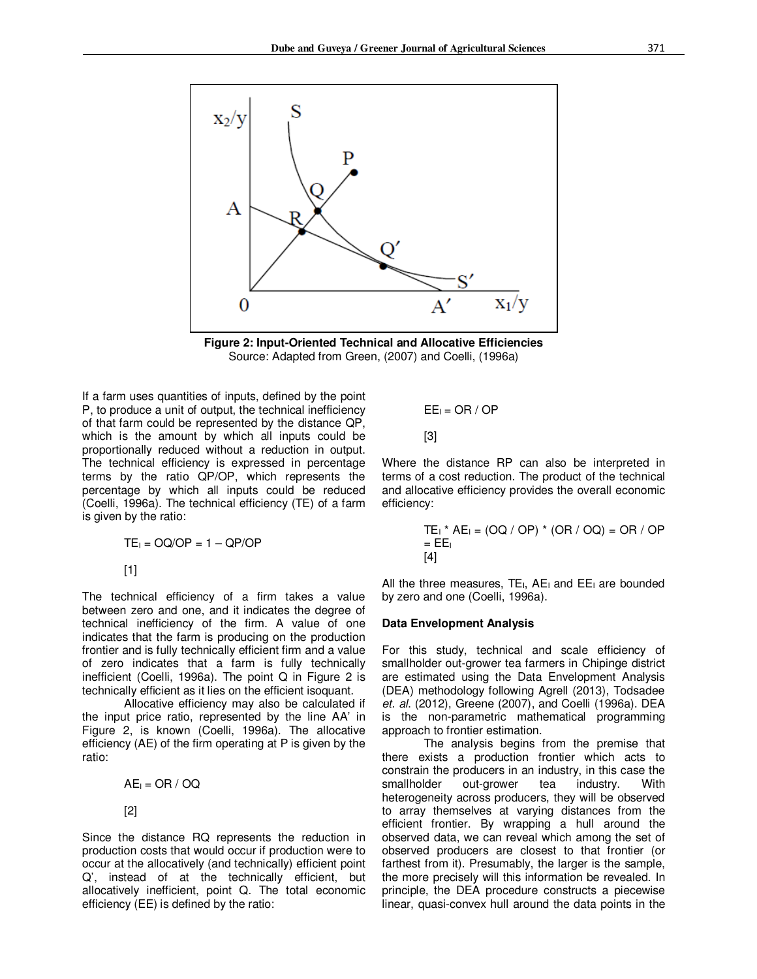



If a farm uses quantities of inputs, defined by the point P, to produce a unit of output, the technical inefficiency of that farm could be represented by the distance QP, which is the amount by which all inputs could be proportionally reduced without a reduction in output. The technical efficiency is expressed in percentage terms by the ratio QP/OP, which represents the percentage by which all inputs could be reduced (Coelli, 1996a). The technical efficiency (TE) of a farm is given by the ratio:

$$
TE_{1} = OQ/OP = 1 - QP/OP
$$

[1]

The technical efficiency of a firm takes a value between zero and one, and it indicates the degree of technical inefficiency of the firm. A value of one indicates that the farm is producing on the production frontier and is fully technically efficient firm and a value of zero indicates that a farm is fully technically inefficient (Coelli, 1996a). The point Q in Figure 2 is technically efficient as it lies on the efficient isoquant.

Allocative efficiency may also be calculated if the input price ratio, represented by the line AA' in Figure 2, is known (Coelli, 1996a). The allocative efficiency (AE) of the firm operating at P is given by the ratio:

$$
AE_i = OR / OQ
$$

[2]

Since the distance RQ represents the reduction in production costs that would occur if production were to occur at the allocatively (and technically) efficient point Q', instead of at the technically efficient, but allocatively inefficient, point Q. The total economic efficiency (EE) is defined by the ratio:

$$
EE_i = OR / OP
$$

$$
^{[3]}
$$

Where the distance RP can also be interpreted in terms of a cost reduction. The product of the technical and allocative efficiency provides the overall economic efficiency:

$$
TE_1 * AE_1 = (OQ / OP) * (OR / OQ) = OR / OP
$$
  
= EE<sub>1</sub>  
[4]

All the three measures,  $TE_{1}$ ,  $AE_{1}$  and  $EE_{1}$  are bounded by zero and one (Coelli, 1996a).

#### **Data Envelopment Analysis**

For this study, technical and scale efficiency of smallholder out-grower tea farmers in Chipinge district are estimated using the Data Envelopment Analysis (DEA) methodology following Agrell (2013), Todsadee *et. al*. (2012), Greene (2007), and Coelli (1996a). DEA is the non-parametric mathematical programming approach to frontier estimation.

The analysis begins from the premise that there exists a production frontier which acts to constrain the producers in an industry, in this case the smallholder out-grower tea industry. With heterogeneity across producers, they will be observed to array themselves at varying distances from the efficient frontier. By wrapping a hull around the observed data, we can reveal which among the set of observed producers are closest to that frontier (or farthest from it). Presumably, the larger is the sample, the more precisely will this information be revealed. In principle, the DEA procedure constructs a piecewise linear, quasi-convex hull around the data points in the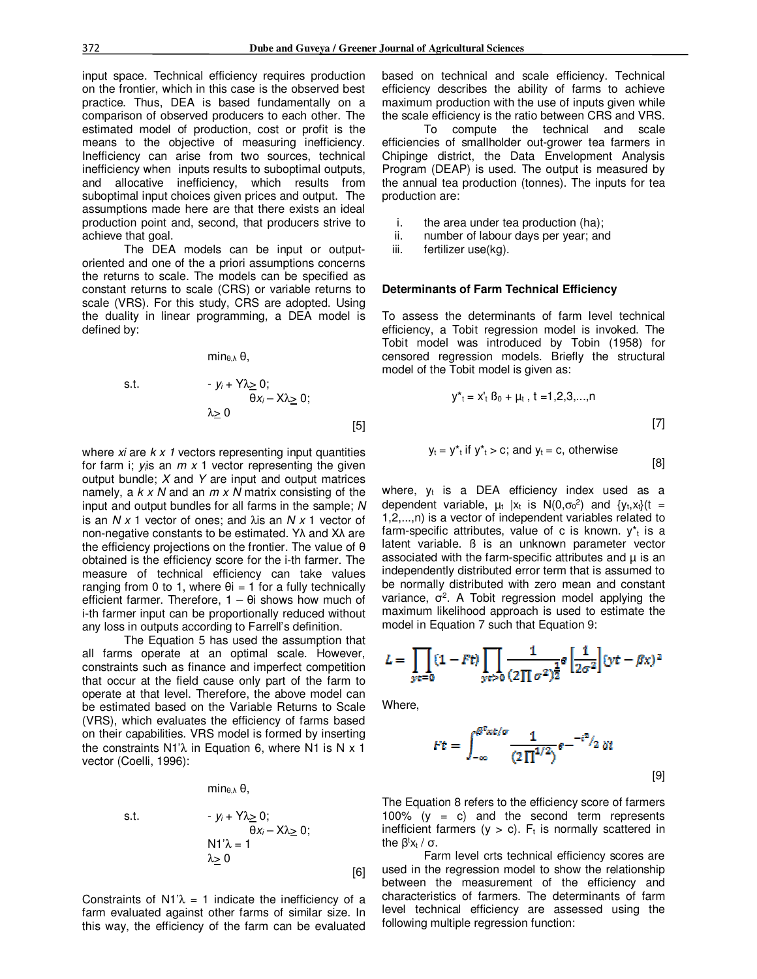practice. Thus, DEA is based fundamentally on a comparison of observed producers to each other. The estimated model of production, cost or profit is the means to the objective of measuring inefficiency. Inefficiency can arise from two sources, technical inefficiency when inputs results to suboptimal outputs, and allocative inefficiency, which results from suboptimal input choices given prices and output. The assumptions made here are that there exists an ideal production point and, second, that producers strive to achieve that goal.

The DEA models can be input or outputoriented and one of the a priori assumptions concerns the returns to scale. The models can be specified as constant returns to scale (CRS) or variable returns to scale (VRS). For this study, CRS are adopted. Using the duality in linear programming, a DEA model is defined by:

$$
min_{\theta,\lambda}\theta,
$$

s.t. 
$$
-y_i + Y\lambda \geq 0; \theta x_i - X\lambda \geq 0; \lambda \geq 0
$$
 [5]

where *xi* are *k x 1* vectors representing input quantities for farm i; *yi*is an *m x* 1 vector representing the given output bundle; *X* and *Y* are input and output matrices namely, a *k x N* and an *m x N* matrix consisting of the input and output bundles for all farms in the sample; *N*  is an *N x* 1 vector of ones; and λis an *N x* 1 vector of non-negative constants to be estimated. Yλ and Xλ are the efficiency projections on the frontier. The value of θ obtained is the efficiency score for the i-th farmer. The measure of technical efficiency can take values ranging from 0 to 1, where  $\theta$ i = 1 for a fully technically efficient farmer. Therefore, 1 – θi shows how much of i-th farmer input can be proportionally reduced without any loss in outputs according to Farrell's definition.

The Equation 5 has used the assumption that all farms operate at an optimal scale. However, constraints such as finance and imperfect competition that occur at the field cause only part of the farm to operate at that level. Therefore, the above model can be estimated based on the Variable Returns to Scale (VRS), which evaluates the efficiency of farms based on their capabilities. VRS model is formed by inserting the constraints  $N1^2\lambda$  in Equation 6, where N1 is N x 1 vector (Coelli, 1996):

 $min_{\theta, \lambda} \theta$ ,

s.t. 
$$
-y_{i} + Y \lambda \geq 0; \theta x_{i} - X \lambda \geq 0; \nN1'\lambda = 1 \n\lambda \geq 0
$$
\n[6]

Constraints of  $N1^2$  = 1 indicate the inefficiency of a farm evaluated against other farms of similar size. In this way, the efficiency of the farm can be evaluated based on technical and scale efficiency. Technical efficiency describes the ability of farms to achieve maximum production with the use of inputs given while the scale efficiency is the ratio between CRS and VRS.

To compute the technical and scale efficiencies of smallholder out-grower tea farmers in Chipinge district, the Data Envelopment Analysis Program (DEAP) is used. The output is measured by the annual tea production (tonnes). The inputs for tea production are:

- i. the area under tea production (ha);
- ii. number of labour days per year; and
- iii. fertilizer use(kg).

#### **Determinants of Farm Technical Efficiency**

To assess the determinants of farm level technical efficiency, a Tobit regression model is invoked. The Tobit model was introduced by Tobin (1958) for censored regression models. Briefly the structural model of the Tobit model is given as:

$$
y^*_{t} = x_t^* B_0 + \mu_t, t = 1, 2, 3, \dots, n
$$
  
[7]  

$$
y_t = y^*_{t} \text{ if } y^*_{t} > c; \text{ and } y_t = c, \text{ otherwise}
$$

$$
y_t = y^* + \text{if } y^* = c
$$
; and  $y_t = c$ , otherwise [8]

where,  $y_t$  is a DEA efficiency index used as a dependent variable,  $\mu_t$  |x<sub>t</sub> is N(0, $\sigma_0^2$ ) and {y<sub>t</sub>, x<sub>t</sub>}(t = 1,2,...,n) is a vector of independent variables related to farm-specific attributes, value of c is known.  $y^*$ <sub>t</sub> is a latent variable. ß is an unknown parameter vector associated with the farm-specific attributes and  $\mu$  is an independently distributed error term that is assumed to be normally distributed with zero mean and constant variance,  $\sigma^2$ . A Tobit regression model applying the maximum likelihood approach is used to estimate the model in Equation 7 such that Equation 9:

$$
L = \prod_{\mathit{ye}=0} (1 - Ft) \prod_{\mathit{ye}>0} \frac{1}{(2\prod \sigma^2)^{\frac{1}{2}}} \mathit{e} \left[\frac{1}{2\sigma^2}\right] (\mathit{yt} - \beta \mathit{x})^2
$$

Where,

$$
Ft = \int_{-\infty}^{\beta^2 \times t/\sigma} \frac{1}{(2\Pi^{1/2})} e^{-t^2/2} \delta t
$$
 [9]

The Equation 8 refers to the efficiency score of farmers 100% ( $y = c$ ) and the second term represents inefficient farmers ( $y > c$ ).  $F_t$  is normally scattered in the β<sup>t</sup>x<sub>t</sub> / σ.

Farm level crts technical efficiency scores are used in the regression model to show the relationship between the measurement of the efficiency and characteristics of farmers. The determinants of farm level technical efficiency are assessed using the following multiple regression function: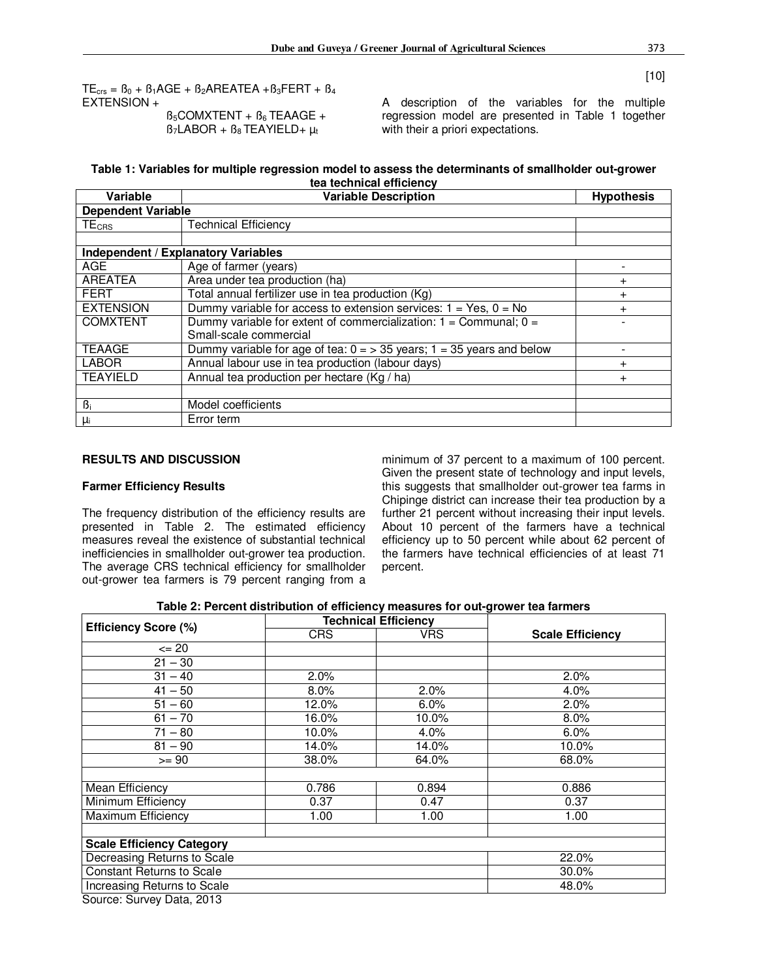[10]

 $TE_{\text{crs}} = B_0 + B_1 \text{AGE} + B_2 \text{AREATEA} + B_3 \text{FERT} + B_4$ EXTENSION +

 $B_5$ COMXTENT +  $B_6$  TEAAGE +  $B_7$ LABOR +  $B_8$ TEAYIELD+  $\mu_t$ 

A description of the variables for the multiple regression model are presented in Table 1 together with their a priori expectations.

#### **Table 1: Variables for multiple regression model to assess the determinants of smallholder out-grower tea technical efficiency**

| Variable                  | <b>Variable Description</b>                                            | <b>Hypothesis</b> |
|---------------------------|------------------------------------------------------------------------|-------------------|
| <b>Dependent Variable</b> |                                                                        |                   |
| $TE_{CRS}$                | <b>Technical Efficiency</b>                                            |                   |
|                           |                                                                        |                   |
|                           | <b>Independent / Explanatory Variables</b>                             |                   |
| <b>AGE</b>                | Age of farmer (years)                                                  |                   |
| <b>AREATEA</b>            | Area under tea production (ha)                                         | $\ddot{}$         |
| <b>FERT</b>               | Total annual fertilizer use in tea production (Kg)                     | $\ddot{}$         |
| <b>EXTENSION</b>          | Dummy variable for access to extension services: $1 = Yes$ , $0 = No$  |                   |
| <b>COMXTENT</b>           | Dummy variable for extent of commercialization: $1 =$ Communal; $0 =$  |                   |
|                           | Small-scale commercial                                                 |                   |
| <b>TEAAGE</b>             | Dummy variable for age of tea: $0 = 535$ years; 1 = 35 years and below |                   |
| <b>LABOR</b>              | Annual labour use in tea production (labour days)                      | $+$               |
| <b>TEAYIELD</b>           | Annual tea production per hectare (Kg / ha)                            | $\ddot{}$         |
|                           |                                                                        |                   |
| $\beta_i$                 | Model coefficients                                                     |                   |
| μi                        | Error term                                                             |                   |

# **RESULTS AND DISCUSSION**

#### **Farmer Efficiency Results**

The frequency distribution of the efficiency results are presented in Table 2. The estimated efficiency measures reveal the existence of substantial technical inefficiencies in smallholder out-grower tea production. The average CRS technical efficiency for smallholder out-grower tea farmers is 79 percent ranging from a minimum of 37 percent to a maximum of 100 percent. Given the present state of technology and input levels, this suggests that smallholder out-grower tea farms in Chipinge district can increase their tea production by a further 21 percent without increasing their input levels. About 10 percent of the farmers have a technical efficiency up to 50 percent while about 62 percent of the farmers have technical efficiencies of at least 71 percent.

| Table 2: Percent distribution of efficiency measures for out-grower tea farmers |  |
|---------------------------------------------------------------------------------|--|
|---------------------------------------------------------------------------------|--|

|            | <b>Technical Efficiency</b> | <b>Scale Efficiency</b> |  |
|------------|-----------------------------|-------------------------|--|
| <b>CRS</b> | VRS.                        |                         |  |
|            |                             |                         |  |
|            |                             |                         |  |
| 2.0%       |                             | 2.0%                    |  |
| 8.0%       | 2.0%                        | 4.0%                    |  |
| 12.0%      | $6.0\%$                     | 2.0%                    |  |
| 16.0%      | 10.0%                       | 8.0%                    |  |
| 10.0%      | 4.0%                        | 6.0%                    |  |
| 14.0%      | 14.0%                       | 10.0%                   |  |
| 38.0%      | 64.0%                       | 68.0%                   |  |
|            |                             |                         |  |
|            | 0.894                       | 0.886                   |  |
| 0.37       | 0.47                        | 0.37                    |  |
| 1.00       | 1.00                        | 1.00                    |  |
|            |                             |                         |  |
|            |                             |                         |  |
|            |                             | 22.0%                   |  |
|            |                             | 30.0%                   |  |
|            |                             | 48.0%                   |  |
|            | 0.786                       |                         |  |

Source: Survey Data, 2013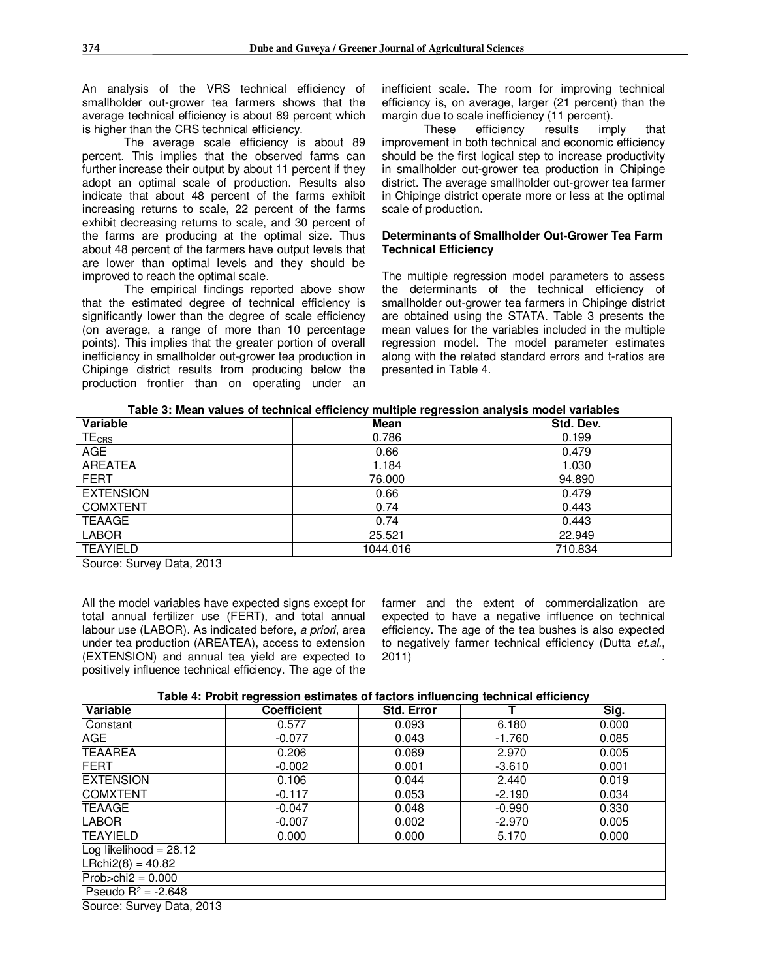An analysis of the VRS technical efficiency of smallholder out-grower tea farmers shows that the average technical efficiency is about 89 percent which is higher than the CRS technical efficiency.

The average scale efficiency is about 89 percent. This implies that the observed farms can further increase their output by about 11 percent if they adopt an optimal scale of production. Results also indicate that about 48 percent of the farms exhibit increasing returns to scale, 22 percent of the farms exhibit decreasing returns to scale, and 30 percent of the farms are producing at the optimal size. Thus about 48 percent of the farmers have output levels that are lower than optimal levels and they should be improved to reach the optimal scale.

The empirical findings reported above show that the estimated degree of technical efficiency is significantly lower than the degree of scale efficiency (on average, a range of more than 10 percentage points). This implies that the greater portion of overall inefficiency in smallholder out-grower tea production in Chipinge district results from producing below the production frontier than on operating under an inefficient scale. The room for improving technical efficiency is, on average, larger (21 percent) than the margin due to scale inefficiency (11 percent).

These efficiency results imply that improvement in both technical and economic efficiency should be the first logical step to increase productivity in smallholder out-grower tea production in Chipinge district. The average smallholder out-grower tea farmer in Chipinge district operate more or less at the optimal scale of production.

#### **Determinants of Smallholder Out-Grower Tea Farm Technical Efficiency**

The multiple regression model parameters to assess the determinants of the technical efficiency of smallholder out-grower tea farmers in Chipinge district are obtained using the STATA. Table 3 presents the mean values for the variables included in the multiple regression model. The model parameter estimates along with the related standard errors and t-ratios are presented in Table 4.

| Table 3: Mean values of technical efficiency multiple regression analysis model variables |  |
|-------------------------------------------------------------------------------------------|--|

| Variable                | Mean     | Std. Dev. |
|-------------------------|----------|-----------|
| <b>TE<sub>CRS</sub></b> | 0.786    | 0.199     |
| <b>AGE</b>              | 0.66     | 0.479     |
| <b>AREATEA</b>          | 1.184    | 1.030     |
| <b>FERT</b>             | 76.000   | 94.890    |
| <b>EXTENSION</b>        | 0.66     | 0.479     |
| <b>COMXTENT</b>         | 0.74     | 0.443     |
| <b>TEAAGE</b>           | 0.74     | 0.443     |
| <b>LABOR</b>            | 25.521   | 22.949    |
| <b>TEAYIELD</b>         | 1044.016 | 710.834   |

Source: Survey Data, 2013

All the model variables have expected signs except for total annual fertilizer use (FERT), and total annual labour use (LABOR). As indicated before, *a priori*, area under tea production (AREATEA), access to extension (EXTENSION) and annual tea yield are expected to positively influence technical efficiency. The age of the farmer and the extent of commercialization are expected to have a negative influence on technical efficiency. The age of the tea bushes is also expected to negatively farmer technical efficiency (Dutta *et.al.*, 2011) .

| Table 4: Probit regression estimates of factors influencing technical efficiency |  |  |  |
|----------------------------------------------------------------------------------|--|--|--|
|                                                                                  |  |  |  |

| Variable                  | <b>Coefficient</b> | <b>Std. Error</b> |          | Sig.  |
|---------------------------|--------------------|-------------------|----------|-------|
| Constant                  | 0.577              | 0.093             | 6.180    | 0.000 |
| <b>AGE</b>                | $-0.077$           | 0.043             | $-1.760$ | 0.085 |
| <b>TEAAREA</b>            | 0.206              | 0.069             | 2.970    | 0.005 |
| <b>FERT</b>               | $-0.002$           | 0.001             | $-3.610$ | 0.001 |
| <b>EXTENSION</b>          | 0.106              | 0.044             | 2.440    | 0.019 |
| <b>COMXTENT</b>           | $-0.117$           | 0.053             | $-2.190$ | 0.034 |
| <b>TEAAGE</b>             | $-0.047$           | 0.048             | $-0.990$ | 0.330 |
| <b>LABOR</b>              | $-0.007$           | 0.002             | $-2.970$ | 0.005 |
| <b>TEAYIELD</b>           | 0.000              | 0.000             | 5.170    | 0.000 |
| Log likelihood = $28.12$  |                    |                   |          |       |
| $LRchi2(8) = 40.82$       |                    |                   |          |       |
| $Prob > chi2 = 0.000$     |                    |                   |          |       |
| Pseudo $R^2 = -2.648$     |                    |                   |          |       |
| Source: Survey Data, 2013 |                    |                   |          |       |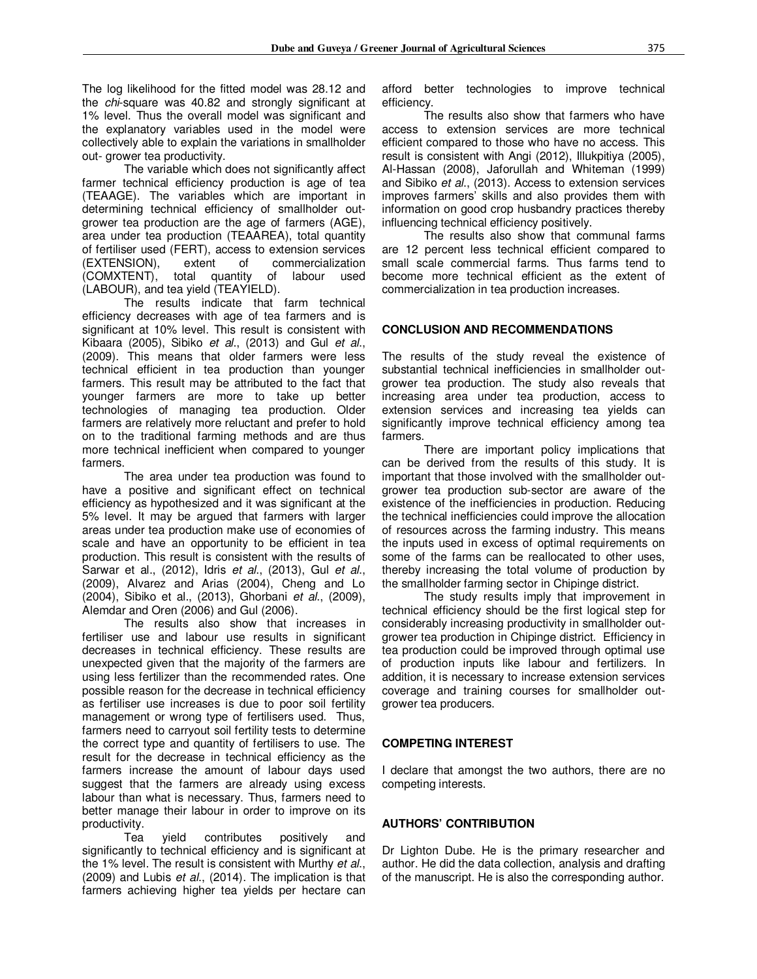The log likelihood for the fitted model was 28.12 and the *chi*-square was 40.82 and strongly significant at 1% level. Thus the overall model was significant and the explanatory variables used in the model were collectively able to explain the variations in smallholder out- grower tea productivity.

The variable which does not significantly affect farmer technical efficiency production is age of tea (TEAAGE). The variables which are important in determining technical efficiency of smallholder outgrower tea production are the age of farmers (AGE), area under tea production (TEAAREA), total quantity of fertiliser used (FERT), access to extension services (EXTENSION), extent of commercialization (COMXTENT), total quantity of labour used (LABOUR), and tea yield (TEAYIELD).

The results indicate that farm technical efficiency decreases with age of tea farmers and is significant at 10% level. This result is consistent with Kibaara (2005), Sibiko *et al*., (2013) and Gul *et al*., (2009). This means that older farmers were less technical efficient in tea production than younger farmers. This result may be attributed to the fact that younger farmers are more to take up better technologies of managing tea production. Older farmers are relatively more reluctant and prefer to hold on to the traditional farming methods and are thus more technical inefficient when compared to younger farmers.

The area under tea production was found to have a positive and significant effect on technical efficiency as hypothesized and it was significant at the 5% level. It may be argued that farmers with larger areas under tea production make use of economies of scale and have an opportunity to be efficient in tea production. This result is consistent with the results of Sarwar et al., (2012), Idris *et al*., (2013), Gul *et al*., (2009), Alvarez and Arias (2004), Cheng and Lo (2004), Sibiko et al., (2013), Ghorbani *et al*., (2009), Alemdar and Oren (2006) and Gul (2006).

The results also show that increases in fertiliser use and labour use results in significant decreases in technical efficiency. These results are unexpected given that the majority of the farmers are using less fertilizer than the recommended rates. One possible reason for the decrease in technical efficiency as fertiliser use increases is due to poor soil fertility management or wrong type of fertilisers used. Thus, farmers need to carryout soil fertility tests to determine the correct type and quantity of fertilisers to use. The result for the decrease in technical efficiency as the farmers increase the amount of labour days used suggest that the farmers are already using excess labour than what is necessary. Thus, farmers need to better manage their labour in order to improve on its productivity.

Tea yield contributes positively and significantly to technical efficiency and is significant at the 1% level. The result is consistent with Murthy *et al*., (2009) and Lubis *et al*., (2014). The implication is that farmers achieving higher tea yields per hectare can

afford better technologies to improve technical efficiency.

The results also show that farmers who have access to extension services are more technical efficient compared to those who have no access. This result is consistent with Angi (2012), Illukpitiya (2005), Al-Hassan (2008), Jaforullah and Whiteman (1999) and Sibiko *et al*., (2013). Access to extension services improves farmers' skills and also provides them with information on good crop husbandry practices thereby influencing technical efficiency positively.

The results also show that communal farms are 12 percent less technical efficient compared to small scale commercial farms. Thus farms tend to become more technical efficient as the extent of commercialization in tea production increases.

# **CONCLUSION AND RECOMMENDATIONS**

The results of the study reveal the existence of substantial technical inefficiencies in smallholder outgrower tea production. The study also reveals that increasing area under tea production, access to extension services and increasing tea yields can significantly improve technical efficiency among tea farmers.

There are important policy implications that can be derived from the results of this study. It is important that those involved with the smallholder outgrower tea production sub-sector are aware of the existence of the inefficiencies in production. Reducing the technical inefficiencies could improve the allocation of resources across the farming industry. This means the inputs used in excess of optimal requirements on some of the farms can be reallocated to other uses, thereby increasing the total volume of production by the smallholder farming sector in Chipinge district.

The study results imply that improvement in technical efficiency should be the first logical step for considerably increasing productivity in smallholder outgrower tea production in Chipinge district. Efficiency in tea production could be improved through optimal use of production inputs like labour and fertilizers. In addition, it is necessary to increase extension services coverage and training courses for smallholder outgrower tea producers.

#### **COMPETING INTEREST**

I declare that amongst the two authors, there are no competing interests.

# **AUTHORS' CONTRIBUTION**

Dr Lighton Dube. He is the primary researcher and author. He did the data collection, analysis and drafting of the manuscript. He is also the corresponding author.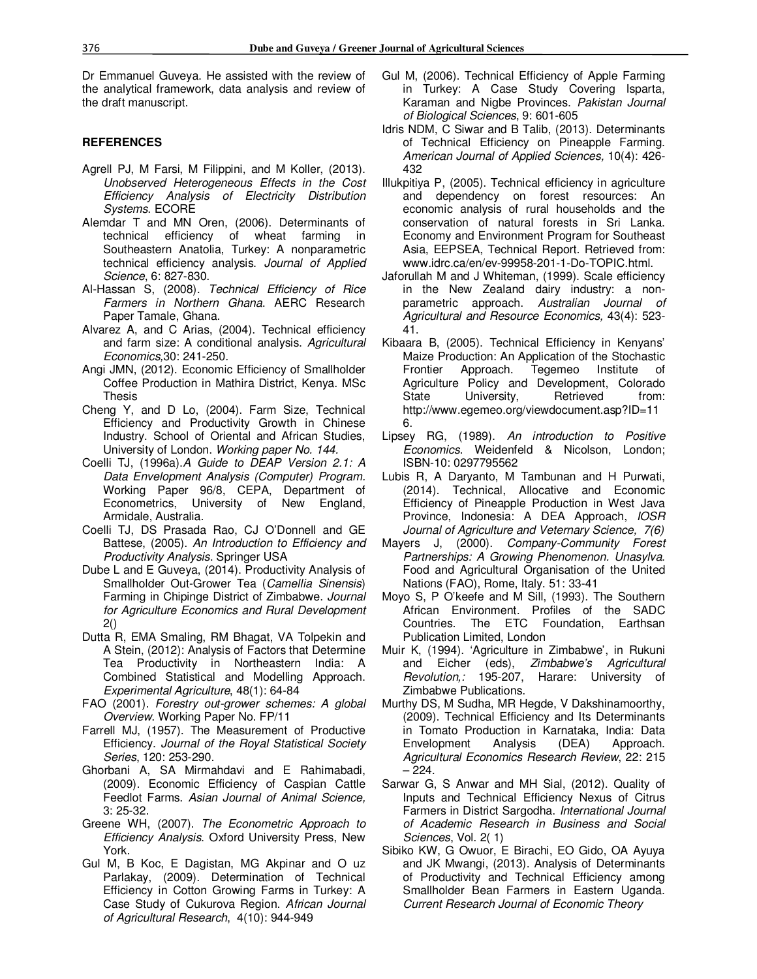Dr Emmanuel Guveya. He assisted with the review of the analytical framework, data analysis and review of the draft manuscript.

#### **REFERENCES**

- Agrell PJ, M Farsi, M Filippini, and M Koller, (2013). *Unobserved Heterogeneous Effects in the Cost Efficiency Analysis of Electricity Distribution Systems*. ECORE
- Alemdar T and MN Oren, (2006). Determinants of technical efficiency of wheat farming in Southeastern Anatolia, Turkey: A nonparametric technical efficiency analysis. *Journal of Applied Science*, 6: 827-830.
- Al-Hassan S, (2008). *Technical Efficiency of Rice Farmers in Northern Ghana*. AERC Research Paper Tamale, Ghana.
- Alvarez A, and C Arias, (2004). Technical efficiency and farm size: A conditional analysis. *Agricultural Economics,*30: 241-250*.*
- Angi JMN, (2012). Economic Efficiency of Smallholder Coffee Production in Mathira District, Kenya. MSc Thesis
- Cheng Y, and D Lo, (2004). Farm Size, Technical Efficiency and Productivity Growth in Chinese Industry. School of Oriental and African Studies, University of London. *Working paper No. 144.*
- Coelli TJ, (1996a).*A Guide to DEAP Version 2.1: A Data Envelopment Analysis (Computer) Program.*  Working Paper 96/8, CEPA, Department of Econometrics, University of New England, Armidale, Australia.
- Coelli TJ, DS Prasada Rao, CJ O'Donnell and GE Battese, (2005). *An Introduction to Efficiency and Productivity Analysis*. Springer USA
- Dube L and E Guveya, (2014). Productivity Analysis of Smallholder Out-Grower Tea (*Camellia Sinensis*) Farming in Chipinge District of Zimbabwe. *Journal for Agriculture Economics and Rural Development* 2()
- Dutta R, EMA Smaling, RM Bhagat, VA Tolpekin and A Stein, (2012): Analysis of Factors that Determine Tea Productivity in Northeastern India: A Combined Statistical and Modelling Approach. *Experimental Agriculture*, 48(1): 64-84
- FAO (2001). *Forestry out-grower schemes: A global Overview*. Working Paper No. FP/11
- Farrell MJ, (1957). The Measurement of Productive Efficiency. *Journal of the Royal Statistical Society Series*, 120: 253-290.
- Ghorbani A, SA Mirmahdavi and E Rahimabadi, (2009). Economic Efficiency of Caspian Cattle Feedlot Farms. *Asian Journal of Animal Science,* 3: 25-32.
- Greene WH, (2007). *The Econometric Approach to Efficiency Analysis*. Oxford University Press, New York.
- Gul M, B Koc, E Dagistan, MG Akpinar and O uz Parlakay, (2009). Determination of Technical Efficiency in Cotton Growing Farms in Turkey: A Case Study of Cukurova Region. *African Journal of Agricultural Research*, 4(10): 944-949
- Gul M, (2006). Technical Efficiency of Apple Farming in Turkey: A Case Study Covering Isparta, Karaman and Nigbe Provinces. *Pakistan Journal of Biological Sciences*, 9: 601-605
- Idris NDM, C Siwar and B Talib, (2013). Determinants of Technical Efficiency on Pineapple Farming. *American Journal of Applied Sciences,* 10(4): 426- 432
- Illukpitiya P, (2005). Technical efficiency in agriculture and dependency on forest resources: An economic analysis of rural households and the conservation of natural forests in Sri Lanka. Economy and Environment Program for Southeast Asia, EEPSEA, Technical Report. Retrieved from: www.idrc.ca/en/ev-99958-201-1-Do-TOPIC.html.
- Jaforullah M and J Whiteman, (1999). Scale efficiency in the New Zealand dairy industry: a nonparametric approach. *Australian Journal of Agricultural and Resource Economics,* 43(4): 523- 41.
- Kibaara B, (2005). Technical Efficiency in Kenyans' Maize Production: An Application of the Stochastic Frontier Approach. Tegemeo Institute of Agriculture Policy and Development, Colorado State University, Retrieved from: http://www.egemeo.org/viewdocument.asp?ID=11 6.
- Lipsey RG, (1989). *An introduction to Positive Economics*. Weidenfeld & Nicolson, London; ISBN-10: 0297795562
- Lubis R, A Daryanto, M Tambunan and H Purwati, (2014). Technical, Allocative and Economic Efficiency of Pineapple Production in West Java Province, Indonesia: A DEA Approach, *IOSR Journal of Agriculture and Veternary Science, 7(6)*
- Mayers J, (2000). *Company-Community Forest Partnerships: A Growing Phenomenon. Unasylva*. Food and Agricultural Organisation of the United Nations (FAO), Rome, Italy. 51: 33-41
- Moyo S, P O'keefe and M Sill, (1993). The Southern African Environment. Profiles of the SADC Countries. The ETC Foundation, Earthsan Publication Limited, London
- Muir K, (1994). 'Agriculture in Zimbabwe', in Rukuni and Eicher (eds), *Zimbabwe's Agricultural Revolution,:* 195-207, Harare: University of Zimbabwe Publications.
- Murthy DS, M Sudha, MR Hegde, V Dakshinamoorthy, (2009). Technical Efficiency and Its Determinants in Tomato Production in Karnataka, India: Data Envelopment Analysis (DEA) Approach. *Agricultural Economics Research Review*, 22: 215 – 224.
- Sarwar G, S Anwar and MH Sial, (2012). Quality of Inputs and Technical Efficiency Nexus of Citrus Farmers in District Sargodha. *International Journal of Academic Research in Business and Social Sciences*, Vol. 2( 1)
- Sibiko KW, G Owuor, E Birachi, EO Gido, OA Ayuya and JK Mwangi, (2013). Analysis of Determinants of Productivity and Technical Efficiency among Smallholder Bean Farmers in Eastern Uganda. *Current Research Journal of Economic Theory*